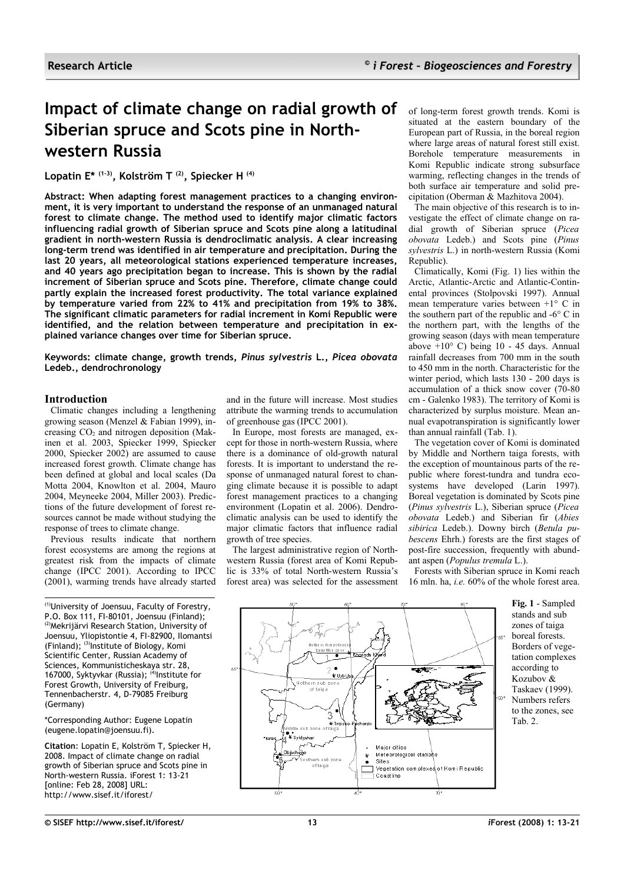# **Impact of climate change on radial growth of Siberian spruce and Scots pine in Northwestern Russia**

**Lopatin E\* (1-3), Kolström T (2), Spiecker H (4)**

**Abstract: When adapting forest management practices to a changing environment, it is very important to understand the response of an unmanaged natural forest to climate change. The method used to identify major climatic factors influencing radial growth of Siberian spruce and Scots pine along a latitudinal gradient in north-western Russia is dendroclimatic analysis. A clear increasing long-term trend was identified in air temperature and precipitation. During the last 20 years, all meteorological stations experienced temperature increases, and 40 years ago precipitation began to increase. This is shown by the radial increment of Siberian spruce and Scots pine. Therefore, climate change could partly explain the increased forest productivity. The total variance explained by temperature varied from 22% to 41% and precipitation from 19% to 38%. The significant climatic parameters for radial increment in Komi Republic were identified, and the relation between temperature and precipitation in explained variance changes over time for Siberian spruce.**

**Keywords: climate change, growth trends,** *Pinus sylvestris* **L.,** *Picea obovata* **Ledeb., dendrochronology**

## **Introduction**

Climatic changes including a lengthening growing season (Menzel & Fabian 1999), increasing  $CO<sub>2</sub>$  and nitrogen deposition (Makinen et al. 2003, Spiecker 1999, Spiecker 2000, Spiecker 2002) are assumed to cause increased forest growth. Climate change has been defined at global and local scales (Da Motta 2004, Knowlton et al. 2004, Mauro 2004, Meyneeke 2004, Miller 2003). Predictions of the future development of forest resources cannot be made without studying the response of trees to climate change.

Previous results indicate that northern forest ecosystems are among the regions at greatest risk from the impacts of climate change (IPCC 2001). According to IPCC (2001), warming trends have already started

(1)University of Joensuu, Faculty of Forestry, P.O. Box 111, FI-80101, Joensuu (Finland); (2)Mekrijärvi Research Station, University of Joensuu, Yliopistontie 4, FI-82900, Ilomantsi (Finland); (3)Institute of Biology, Komi Scientific Center, Russian Academy of Sciences, Kommunisticheskaya str. 28, 167000, Syktyykar (Russia); <sup>(4)</sup>Institute for Forest Growth, University of Freiburg, Tennenbacherstr. 4, D-79085 Freiburg (Germany)

#### \*Corresponding Author: Eugene Lopatin (eugene.lopatin@joensuu.fi).

**Citation**: Lopatin E, Kolström T, Spiecker H, 2008. Impact of climate change on radial growth of Siberian spruce and Scots pine in North-western Russia. iForest 1: 13-21 [online: Feb 28, 2008] URL: http://www.sisef.it/iforest/

and in the future will increase. Most studies attribute the warming trends to accumulation of greenhouse gas (IPCC 2001).

In Europe, most forests are managed, except for those in north-western Russia, where there is a dominance of old-growth natural forests. It is important to understand the response of unmanaged natural forest to changing climate because it is possible to adapt forest management practices to a changing environment (Lopatin et al. 2006). Dendroclimatic analysis can be used to identify the major climatic factors that influence radial growth of tree species.

The largest administrative region of Northwestern Russia (forest area of Komi Republic is 33% of total North-western Russia's forest area) was selected for the assessment of long-term forest growth trends. Komi is situated at the eastern boundary of the European part of Russia, in the boreal region where large areas of natural forest still exist. Borehole temperature measurements in Komi Republic indicate strong subsurface warming, reflecting changes in the trends of both surface air temperature and solid precipitation (Oberman & Mazhitova 2004).

The main objective of this research is to investigate the effect of climate change on radial growth of Siberian spruce (*Picea obovata* Ledeb.) and Scots pine (*Pinus sylvestris* L.) in north-western Russia (Komi Republic).

Climatically, Komi [\(Fig.](#page-0-0) 1) lies within the Arctic, Atlantic-Arctic and Atlantic-Continental provinces (Stolpovski 1997). Annual mean temperature varies between +1° C in the southern part of the republic and -6° C in the northern part, with the lengths of the growing season (days with mean temperature above  $+10^{\circ}$  C) being 10 - 45 days. Annual rainfall decreases from 700 mm in the south to 450 mm in the north. Characteristic for the winter period, which lasts 130 - 200 days is accumulation of a thick snow cover (70-80 cm - Galenko 1983). The territory of Komi is characterized by surplus moisture. Mean annual evapotranspiration is significantly lower than annual rainfall [\(Tab. 1\)](#page-1-1).

The vegetation cover of Komi is dominated by Middle and Northern taiga forests, with the exception of mountainous parts of the republic where forest-tundra and tundra ecosystems have developed (Larin 1997). Boreal vegetation is dominated by Scots pine (*Pinus sylvestris* L.), Siberian spruce (*Picea obovata* Ledeb.) and Siberian fir (*Abies sibirica* Ledeb.). Downy birch (*Betula pubescens* Ehrh.) forests are the first stages of post-fire succession, frequently with abundant aspen (*Populus tremula* L.).

Forests with Siberian spruce in Komi reach 16 mln. ha, *i.e.* 60% of the whole forest area.

.. ¥ ॥<del>त</del>ना Nothern sub z<br>of taiga 3 fī ldle sub zon .<br>\* Sykhokar Major cities Meteorological stations  $\ddot{\bullet}$ m sub zone  $S$ ites oftaiga on.<br>Vegetation complexes of KomiRepublic Coastline

<span id="page-0-0"></span>**Fig. 1** - Sampled stands and sub zones of taiga boreal forests. Borders of vegetation complexes according to Kozubov & Taskaev (1999). Numbers refers to the zones, see [Tab. 2.](#page-1-0)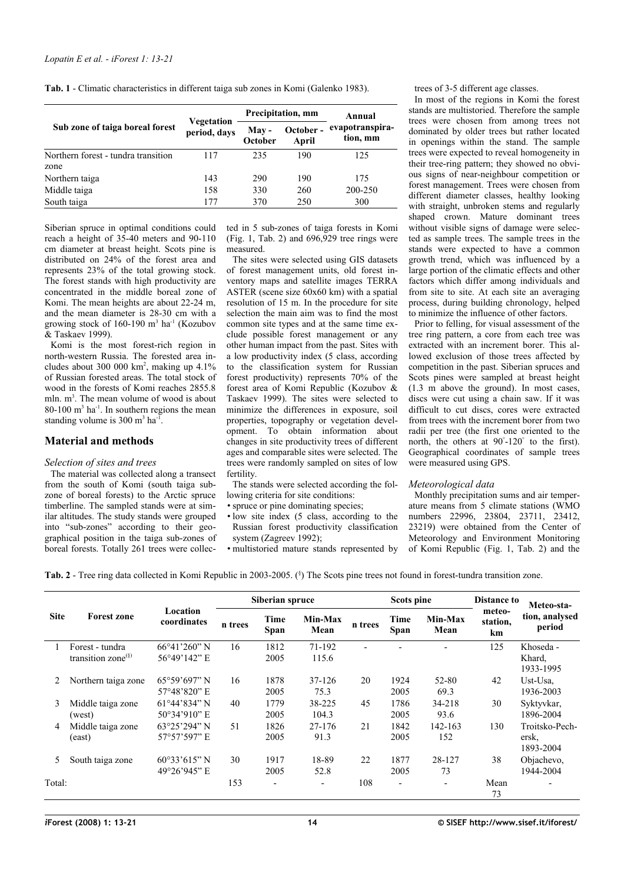<span id="page-1-1"></span>**Tab. 1** - Climatic characteristics in different taiga sub zones in Komi (Galenko 1983).

|                                     |                            |                  | Precipitation, mm  | Annual<br>evapotranspira-<br>tion, mm |  |
|-------------------------------------|----------------------------|------------------|--------------------|---------------------------------------|--|
| Sub zone of taiga boreal forest     | Vegetation<br>period, days | May -<br>October | October -<br>April |                                       |  |
| Northern forest - tundra transition | 117                        | 235              | 190                | 125                                   |  |
| zone                                |                            |                  |                    |                                       |  |
| Northern taiga                      | 143                        | 290              | 190                | 175                                   |  |
| Middle taiga                        | 158                        | 330              | 260                | 200-250                               |  |
| South taiga                         | 177                        | 370              | 250                | 300                                   |  |

Siberian spruce in optimal conditions could reach a height of 35-40 meters and 90-110 cm diameter at breast height. Scots pine is distributed on 24% of the forest area and represents 23% of the total growing stock. The forest stands with high productivity are concentrated in the middle boreal zone of Komi. The mean heights are about 22-24 m, and the mean diameter is 28-30 cm with a growing stock of  $160-190$  m<sup>3</sup> ha<sup>-1</sup> (Kozubov & Taskaev 1999).

Komi is the most forest-rich region in north-western Russia. The forested area includes about 300 000  $km^2$ , making up 4.1% of Russian forested areas. The total stock of wood in the forests of Komi reaches 2855.8 mln. m<sup>3</sup>. The mean volume of wood is about  $80-100$  m<sup>3</sup> ha<sup>-1</sup>. In southern regions the mean standing volume is  $300 \text{ m}^3 \text{ ha}^{-1}$ .

## **Material and methods**

## *Selection of sites and trees*

The material was collected along a transect from the south of Komi (south taiga subzone of boreal forests) to the Arctic spruce timberline. The sampled stands were at similar altitudes. The study stands were grouped into "sub-zones" according to their geographical position in the taiga sub-zones of boreal forests. Totally 261 trees were collected in 5 sub-zones of taiga forests in Komi  $(Fig. 1, Tab. 2)$  $(Fig. 1, Tab. 2)$  $(Fig. 1, Tab. 2)$  $(Fig. 1, Tab. 2)$  and  $696,929$  tree rings were measured.

The sites were selected using GIS datasets of forest management units, old forest inventory maps and satellite images TERRA ASTER (scene size 60x60 km) with a spatial resolution of 15 m. In the procedure for site selection the main aim was to find the most common site types and at the same time exclude possible forest management or any other human impact from the past. Sites with a low productivity index (5 class, according to the classification system for Russian forest productivity) represents 70% of the forest area of Komi Republic (Kozubov & Taskaev 1999). The sites were selected to minimize the differences in exposure, soil properties, topography or vegetation development. To obtain information about changes in site productivity trees of different ages and comparable sites were selected. The trees were randomly sampled on sites of low fertility.

The stands were selected according the following criteria for site conditions:

- spruce or pine dominating species:
- low site index (5 class, according to the Russian forest productivity classification system (Zagreev 1992); •multistoried mature stands represented by

trees of 3-5 different age classes.

In most of the regions in Komi the forest stands are multistoried. Therefore the sample trees were chosen from among trees not dominated by older trees but rather located in openings within the stand. The sample trees were expected to reveal homogeneity in their tree-ring pattern; they showed no obvious signs of near-neighbour competition or forest management. Trees were chosen from different diameter classes, healthy looking with straight, unbroken stems and regularly shaped crown. Mature dominant trees without visible signs of damage were selected as sample trees. The sample trees in the stands were expected to have a common growth trend, which was influenced by a large portion of the climatic effects and other factors which differ among individuals and from site to site. At each site an averaging process, during building chronology, helped to minimize the influence of other factors.

Prior to felling, for visual assessment of the tree ring pattern, a core from each tree was extracted with an increment borer. This allowed exclusion of those trees affected by competition in the past. Siberian spruces and Scots pines were sampled at breast height (1.3 m above the ground). In most cases, discs were cut using a chain saw. If it was difficult to cut discs, cores were extracted from trees with the increment borer from two radii per tree (the first one oriented to the north, the others at 90°-120° to the first). Geographical coordinates of sample trees were measured using GPS.

#### *Meteorological data*

Monthly precipitation sums and air temperature means from 5 climate stations (WMO numbers 22996, 23804, 23711, 23412, 23219) were obtained from the Center of Meteorology and Environment Monitoring of Komi Republic [\(Fig.](#page-0-0) 1, [Tab.](#page-1-0) 2) and the

<span id="page-1-0"></span>Tab. 2 - Tree ring data collected in Komi Republic in 2003-2005. (<sup>§</sup>) The Scots pine trees not found in forest-tundra transition zone.

|             |                                          |                                                  | Siberian spruce |                          |                          | Scots pine |                          |                          | <b>Distance to</b>       | Meteo-sta-                           |
|-------------|------------------------------------------|--------------------------------------------------|-----------------|--------------------------|--------------------------|------------|--------------------------|--------------------------|--------------------------|--------------------------------------|
| <b>Site</b> | <b>Forest zone</b>                       | Location<br>coordinates                          | n trees         | Time<br>Span             | Min-Max<br>Mean          | n trees    | Time<br>Span             | Min-Max<br>Mean          | meteo-<br>station.<br>km | tion, analysed<br>period             |
|             | Forest - tundra<br>transition zone $(§)$ | $66^{\circ}41'260''$ N<br>56°49'142" E           | 16              | 1812<br>2005             | 71-192<br>115.6          |            |                          |                          | 125                      | Khoseda -<br>Khard,<br>1933-1995     |
| 2           | Northern taiga zone                      | $65^{\circ}59'697"$ N<br>57°48'820" E            | 16              | 1878<br>2005             | 37-126<br>75.3           | 20         | 1924<br>2005             | 52-80<br>69.3            | 42                       | Ust-Usa.<br>1936-2003                |
| 3           | Middle taiga zone<br>(west)              | $61^{\circ}44'834"$ N<br>50°34'910" E            | 40              | 1779<br>2005             | 38-225<br>104.3          | 45         | 1786<br>2005             | 34-218<br>93.6           | 30                       | Syktyvkar,<br>1896-2004              |
| 4           | Middle taiga zone<br>(east)              | $63^{\circ}25'294"$ N<br>57°57'597" E            | 51              | 1826<br>2005             | 27-176<br>91.3           | 21         | 1842<br>2005             | 142-163<br>152           | 130                      | Troitsko-Pech-<br>ersk,<br>1893-2004 |
| 5           | South taiga zone                         | $60^{\circ}33'615''$ N<br>$49^{\circ}26'945''$ E | 30              | 1917<br>2005             | 18-89<br>52.8            | 22         | 1877<br>2005             | 28-127<br>73             | 38                       | Objachevo,<br>1944-2004              |
| Total:      |                                          |                                                  | 153             | $\overline{\phantom{0}}$ | $\overline{\phantom{a}}$ | 108        | $\overline{\phantom{a}}$ | $\overline{\phantom{a}}$ | Mean<br>73               | $\overline{\phantom{0}}$             |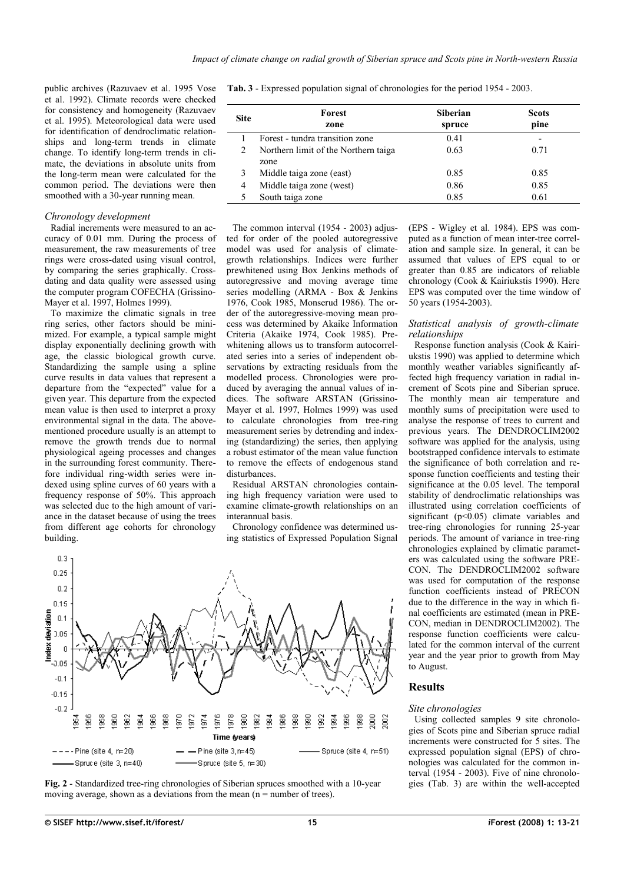public archives (Razuvaev et al. 1995 Vose et al. 1992). Climate records were checked for consistency and homogeneity (Razuvaev et al. 1995). Meteorological data were used for identification of dendroclimatic relationships and long-term trends in climate change. To identify long-term trends in climate, the deviations in absolute units from the long-term mean were calculated for the common period. The deviations were then smoothed with a 30-year running mean.

#### *Chronology development*

Radial increments were measured to an accuracy of 0.01 mm. During the process of measurement, the raw measurements of tree rings were cross-dated using visual control, by comparing the series graphically. Crossdating and data quality were assessed using the computer program COFECHA (Grissino-Mayer et al. 1997, Holmes 1999).

To maximize the climatic signals in tree ring series, other factors should be minimized. For example, a typical sample might display exponentially declining growth with age, the classic biological growth curve. Standardizing the sample using a spline curve results in data values that represent a departure from the "expected" value for a given year. This departure from the expected mean value is then used to interpret a proxy environmental signal in the data. The abovementioned procedure usually is an attempt to remove the growth trends due to normal physiological ageing processes and changes in the surrounding forest community. Therefore individual ring-width series were indexed using spline curves of 60 years with a frequency response of 50%. This approach was selected due to the high amount of variance in the dataset because of using the trees from different age cohorts for chronology building.

<span id="page-2-0"></span>**Tab. 3** - Expressed population signal of chronologies for the period 1954 - 2003.

| <b>Site</b> | Forest<br>zone                               | <b>Siberian</b><br>spruce | <b>Scots</b><br>pine |
|-------------|----------------------------------------------|---------------------------|----------------------|
|             | Forest - tundra transition zone              | 0.41                      | -                    |
|             | Northern limit of the Northern taiga<br>zone | 0.63                      | 0.71                 |
|             | Middle taiga zone (east)                     | 0.85                      | 0.85                 |
| 4           | Middle taiga zone (west)                     | 0.86                      | 0.85                 |
|             | South taiga zone                             | 0.85                      | 0.61                 |

The common interval (1954 - 2003) adjusted for order of the pooled autoregressive model was used for analysis of climategrowth relationships. Indices were further prewhitened using Box Jenkins methods of autoregressive and moving average time series modelling (ARMA - Box & Jenkins 1976, Cook 1985, Monserud 1986). The order of the autoregressive-moving mean process was determined by Akaike Information Criteria (Akaike 1974, Cook 1985). Prewhitening allows us to transform autocorrelated series into a series of independent observations by extracting residuals from the modelled process. Chronologies were produced by averaging the annual values of indices. The software ARSTAN (Grissino-Mayer et al. 1997, Holmes 1999) was used to calculate chronologies from tree-ring measurement series by detrending and indexing (standardizing) the series, then applying a robust estimator of the mean value function to remove the effects of endogenous stand disturbances.

Residual ARSTAN chronologies containing high frequency variation were used to examine climate-growth relationships on an interannual basis.

Chronology confidence was determined using statistics of Expressed Population Signal



<span id="page-2-1"></span>

(EPS - Wigley et al. 1984). EPS was computed as a function of mean inter-tree correlation and sample size. In general, it can be assumed that values of EPS equal to or greater than 0.85 are indicators of reliable chronology (Cook & Kairiukstis 1990). Here EPS was computed over the time window of 50 years (1954-2003).

## *Statistical analysis of growth-climate relationships*

Response function analysis (Cook & Kairiukstis 1990) was applied to determine which monthly weather variables significantly affected high frequency variation in radial increment of Scots pine and Siberian spruce. The monthly mean air temperature and monthly sums of precipitation were used to analyse the response of trees to current and previous years. The DENDROCLIM2002 software was applied for the analysis, using bootstrapped confidence intervals to estimate the significance of both correlation and response function coefficients and testing their significance at the 0.05 level. The temporal stability of dendroclimatic relationships was illustrated using correlation coefficients of significant  $(p<0.05)$  climate variables and tree-ring chronologies for running 25-year periods. The amount of variance in tree-ring chronologies explained by climatic parameters was calculated using the software PRE-CON. The DENDROCLIM2002 software was used for computation of the response function coefficients instead of PRECON due to the difference in the way in which final coefficients are estimated (mean in PRE-CON, median in DENDROCLIM2002). The response function coefficients were calculated for the common interval of the current year and the year prior to growth from May to August.

#### **Results**

## *Site chronologies*

Using collected samples 9 site chronologies of Scots pine and Siberian spruce radial increments were constructed for 5 sites. The expressed population signal (EPS) of chronologies was calculated for the common interval (1954 - 2003). Five of nine chronologies [\(Tab.](#page-2-0) 3) are within the well-accepted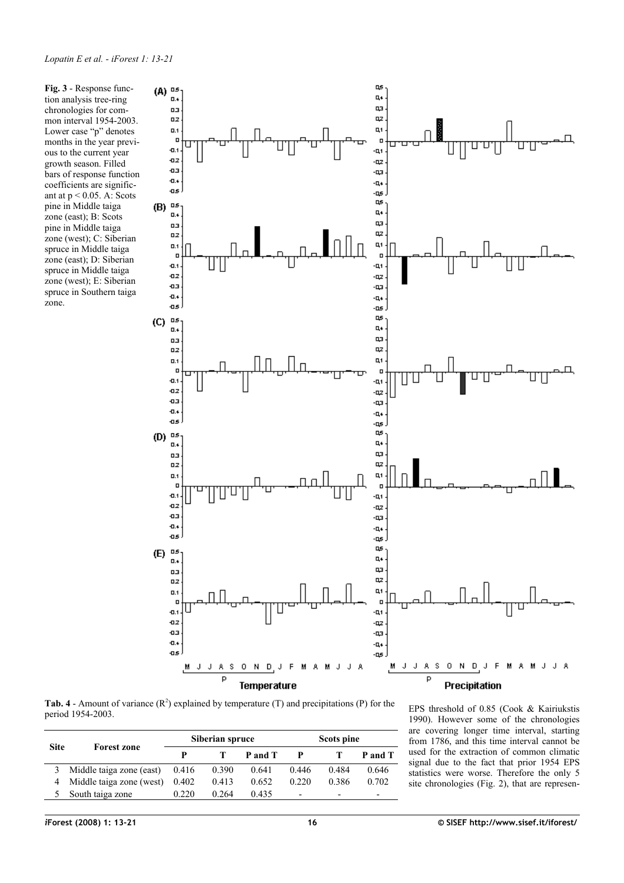<span id="page-3-1"></span>**Fig. 3** - Response function analysis tree-ring chronologies for common interval 1954-2003. Lower case "p" denotes months in the year previous to the current year growth season. Filled bars of response function coefficients are significant at  $p < 0.05$ . A: Scots pine in Middle taiga zone (east); B: Scots pine in Middle taiga zone (west); C: Siberian spruce in Middle taiga zone (east); D: Siberian spruce in Middle taiga zone (west); E: Siberian spruce in Southern taiga zone.



<span id="page-3-0"></span>**Tab. 4** - Amount of variance  $(R^2)$  explained by temperature  $(T)$  and precipitations  $(P)$  for the period 1954-2003.

| <b>Site</b> |                          | Siberian spruce |       |         | Scots pine               |       |         |
|-------------|--------------------------|-----------------|-------|---------|--------------------------|-------|---------|
|             | <b>Forest zone</b>       | p               |       | P and T |                          |       | P and T |
| 3           | Middle taiga zone (east) | 0.416           | 0.390 | 0.641   | 0.446                    | 0.484 | 0.646   |
| 4           | Middle taiga zone (west) | 0.402           | 0.413 | 0.652   | 0.220                    | 0.386 | 0.702   |
|             | South taiga zone         | 0.220           | 0.264 | 0.435   | $\overline{\phantom{0}}$ | -     | -       |

EPS threshold of 0.85 (Cook & Kairiukstis 1990). However some of the chronologies are covering longer time interval, starting from 1786, and this time interval cannot be used for the extraction of common climatic signal due to the fact that prior 1954 EPS statistics were worse. Therefore the only 5 site chronologies [\(Fig.](#page-2-1) 2), that are represen-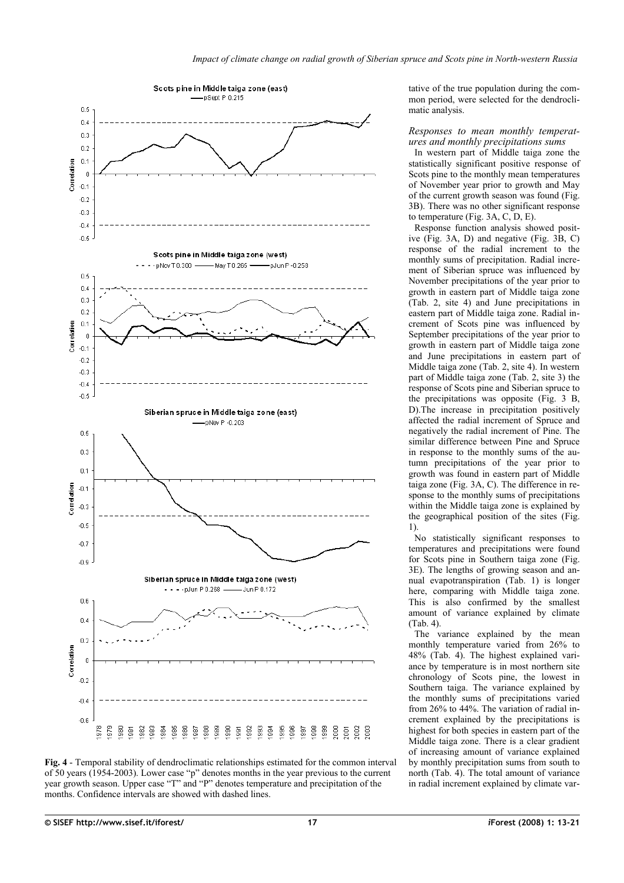

<span id="page-4-0"></span>

tative of the true population during the common period, were selected for the dendroclimatic analysis.

*Responses to mean monthly temperatures and monthly precipitations sums*

In western part of Middle taiga zone the statistically significant positive response of Scots pine to the monthly mean temperatures of November year prior to growth and May of the current growth season was found [\(Fig.](#page-3-1) [3B](#page-3-1)). There was no other significant response to temperature [\(Fig. 3A](#page-3-1), C, D, E).

Response function analysis showed positive [\(Fig.](#page-3-1) 3A, D) and negative [\(Fig.](#page-3-1) 3B, C) response of the radial increment to the monthly sums of precipitation. Radial increment of Siberian spruce was influenced by November precipitations of the year prior to growth in eastern part of Middle taiga zone [\(Tab.](#page-1-0) 2, site 4) and June precipitations in eastern part of Middle taiga zone. Radial increment of Scots pine was influenced by September precipitations of the year prior to growth in eastern part of Middle taiga zone and June precipitations in eastern part of Middle taiga zone [\(Tab. 2,](#page-1-0) site 4). In western part of Middle taiga zone [\(Tab.](#page-1-0) 2, site 3) the response of Scots pine and Siberian spruce to the precipitations was opposite [\(Fig.](#page-3-1) 3 B, D).The increase in precipitation positively affected the radial increment of Spruce and negatively the radial increment of Pine. The similar difference between Pine and Spruce in response to the monthly sums of the autumn precipitations of the year prior to growth was found in eastern part of Middle taiga zone [\(Fig.](#page-3-1) 3A, C). The difference in response to the monthly sums of precipitations within the Middle taiga zone is explained by the geographical position of the sites [\(Fig.](#page-0-0) [1\)](#page-0-0).

No statistically significant responses to temperatures and precipitations were found for Scots pine in Southern taiga zone [\(Fig.](#page-3-1) [3E](#page-3-1)). The lengths of growing season and annual evapotranspiration [\(Tab.](#page-1-1) 1) is longer here, comparing with Middle taiga zone. This is also confirmed by the smallest amount of variance explained by climate [\(Tab. 4\)](#page-3-0).

The variance explained by the mean monthly temperature varied from 26% to 48% [\(Tab.](#page-3-0) 4). The highest explained variance by temperature is in most northern site chronology of Scots pine, the lowest in Southern taiga. The variance explained by the monthly sums of precipitations varied from 26% to 44%. The variation of radial increment explained by the precipitations is highest for both species in eastern part of the Middle taiga zone. There is a clear gradient of increasing amount of variance explained by monthly precipitation sums from south to north [\(Tab.](#page-3-0) 4). The total amount of variance in radial increment explained by climate var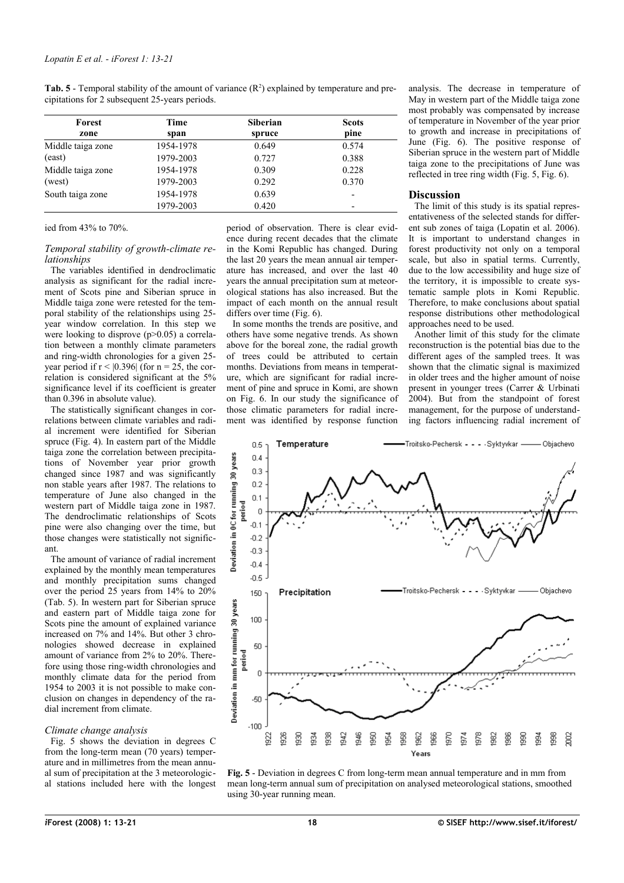<span id="page-5-1"></span>**Tab. 5** - Temporal stability of the amount of variance  $(R^2)$  explained by temperature and precipitations for 2 subsequent 25-years periods.

| Forest            | Time      | <b>Siberian</b> | <b>Scots</b> |  |
|-------------------|-----------|-----------------|--------------|--|
| zone              | span      | spruce          | pine         |  |
| Middle taiga zone | 1954-1978 | 0.649           | 0.574        |  |
| (east)            | 1979-2003 | 0.727           | 0.388        |  |
| Middle taiga zone | 1954-1978 | 0.309           | 0.228        |  |
| (west)            | 1979-2003 | 0.292           | 0.370        |  |
| South taiga zone  | 1954-1978 | 0.639           |              |  |
|                   | 1979-2003 | 0.420           |              |  |

## ied from 43% to 70%.

## *Temporal stability of growth-climate relationships*

The variables identified in dendroclimatic analysis as significant for the radial increment of Scots pine and Siberian spruce in Middle taiga zone were retested for the temporal stability of the relationships using 25 year window correlation. In this step we were looking to disprove (p>0.05) a correlation between a monthly climate parameters and ring-width chronologies for a given 25 year period if  $r < |0.396|$  (for  $n = 25$ , the correlation is considered significant at the 5% significance level if its coefficient is greater than 0.396 in absolute value).

The statistically significant changes in correlations between climate variables and radial increment were identified for Siberian spruce [\(Fig.](#page-4-0) 4). In eastern part of the Middle taiga zone the correlation between precipitations of November year prior growth changed since 1987 and was significantly non stable years after 1987. The relations to temperature of June also changed in the western part of Middle taiga zone in 1987. The dendroclimatic relationships of Scots pine were also changing over the time, but those changes were statistically not significant.

The amount of variance of radial increment explained by the monthly mean temperatures and monthly precipitation sums changed over the period 25 years from 14% to 20% [\(Tab.](#page-5-1) 5). In western part for Siberian spruce and eastern part of Middle taiga zone for Scots pine the amount of explained variance increased on 7% and 14%. But other 3 chronologies showed decrease in explained amount of variance from 2% to 20%. Therefore using those ring-width chronologies and monthly climate data for the period from 1954 to 2003 it is not possible to make conclusion on changes in dependency of the radial increment from climate.

## *Climate change analysis*

[Fig.](#page-5-0) 5 shows the deviation in degrees C from the long-term mean (70 years) temperature and in millimetres from the mean annual sum of precipitation at the 3 meteorological stations included here with the longest period of observation. There is clear evidence during recent decades that the climate in the Komi Republic has changed. During the last 20 years the mean annual air temperature has increased, and over the last 40 years the annual precipitation sum at meteorological stations has also increased. But the impact of each month on the annual result differs over time [\(Fig. 6\)](#page-6-0).

In some months the trends are positive, and others have some negative trends. As shown above for the boreal zone, the radial growth of trees could be attributed to certain months. Deviations from means in temperature, which are significant for radial increment of pine and spruce in Komi, are shown on [Fig.](#page-6-0) 6. In our study the significance of those climatic parameters for radial increment was identified by response function analysis. The decrease in temperature of May in western part of the Middle taiga zone most probably was compensated by increase of temperature in November of the year prior to growth and increase in precipitations of June [\(Fig.](#page-6-0) 6). The positive response of Siberian spruce in the western part of Middle taiga zone to the precipitations of June was reflected in tree ring width [\(Fig.](#page-5-0) 5, [Fig.](#page-6-0) 6).

# **Discussion**

The limit of this study is its spatial representativeness of the selected stands for different sub zones of taiga (Lopatin et al. 2006). It is important to understand changes in forest productivity not only on a temporal scale, but also in spatial terms. Currently, due to the low accessibility and huge size of the territory, it is impossible to create systematic sample plots in Komi Republic. Therefore, to make conclusions about spatial response distributions other methodological approaches need to be used.

Another limit of this study for the climate reconstruction is the potential bias due to the different ages of the sampled trees. It was shown that the climatic signal is maximized in older trees and the higher amount of noise present in younger trees (Carrer & Urbinati 2004). But from the standpoint of forest management, for the purpose of understanding factors influencing radial increment of



<span id="page-5-0"></span>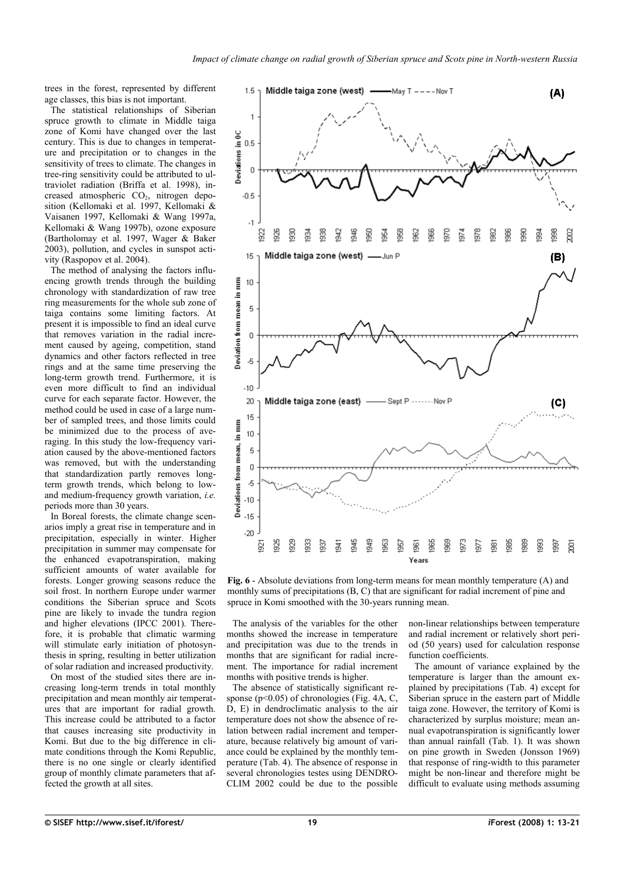trees in the forest, represented by different age classes, this bias is not important.

The statistical relationships of Siberian spruce growth to climate in Middle taiga zone of Komi have changed over the last century. This is due to changes in temperature and precipitation or to changes in the sensitivity of trees to climate. The changes in tree-ring sensitivity could be attributed to ultraviolet radiation (Briffa et al. 1998), increased atmospheric CO<sub>2</sub>, nitrogen deposition (Kellomaki et al. 1997, Kellomaki & Vaisanen 1997, Kellomaki & Wang 1997a, Kellomaki & Wang 1997b), ozone exposure (Bartholomay et al. 1997, Wager & Baker 2003), pollution, and cycles in sunspot activity (Raspopov et al. 2004).

The method of analysing the factors influencing growth trends through the building chronology with standardization of raw tree ring measurements for the whole sub zone of taiga contains some limiting factors. At present it is impossible to find an ideal curve that removes variation in the radial increment caused by ageing, competition, stand dynamics and other factors reflected in tree rings and at the same time preserving the long-term growth trend. Furthermore, it is even more difficult to find an individual curve for each separate factor. However, the method could be used in case of a large number of sampled trees, and those limits could be minimized due to the process of averaging. In this study the low-frequency variation caused by the above-mentioned factors was removed, but with the understanding that standardization partly removes longterm growth trends, which belong to lowand medium-frequency growth variation, *i.e.* periods more than 30 years.

In Boreal forests, the climate change scenarios imply a great rise in temperature and in precipitation, especially in winter. Higher precipitation in summer may compensate for the enhanced evapotranspiration, making sufficient amounts of water available for forests. Longer growing seasons reduce the soil frost. In northern Europe under warmer conditions the Siberian spruce and Scots pine are likely to invade the tundra region and higher elevations (IPCC 2001). Therefore, it is probable that climatic warming will stimulate early initiation of photosynthesis in spring, resulting in better utilization of solar radiation and increased productivity.

On most of the studied sites there are increasing long-term trends in total monthly precipitation and mean monthly air temperatures that are important for radial growth. This increase could be attributed to a factor that causes increasing site productivity in Komi. But due to the big difference in climate conditions through the Komi Republic, there is no one single or clearly identified group of monthly climate parameters that affected the growth at all sites.



<span id="page-6-0"></span>**Fig. 6** - Absolute deviations from long-term means for mean monthly temperature (A) and monthly sums of precipitations (B, C) that are significant for radial increment of pine and spruce in Komi smoothed with the 30-years running mean.

The analysis of the variables for the other months showed the increase in temperature and precipitation was due to the trends in months that are significant for radial increment. The importance for radial increment months with positive trends is higher.

The absence of statistically significant re-sponse (p<0.05) of chronologies [\(Fig.](#page-4-0) 4A, C, D, E) in dendroclimatic analysis to the air temperature does not show the absence of relation between radial increment and temperature, because relatively big amount of variance could be explained by the monthly temperature [\(Tab. 4\)](#page-3-0). The absence of response in several chronologies testes using DENDRO-CLIM 2002 could be due to the possible non-linear relationships between temperature and radial increment or relatively short period (50 years) used for calculation response function coefficients.

The amount of variance explained by the temperature is larger than the amount explained by precipitations [\(Tab.](#page-3-0) 4) except for Siberian spruce in the eastern part of Middle taiga zone. However, the territory of Komi is characterized by surplus moisture; mean annual evapotranspiration is significantly lower than annual rainfall [\(Tab.](#page-1-1) 1). It was shown on pine growth in Sweden (Jonsson 1969) that response of ring-width to this parameter might be non-linear and therefore might be difficult to evaluate using methods assuming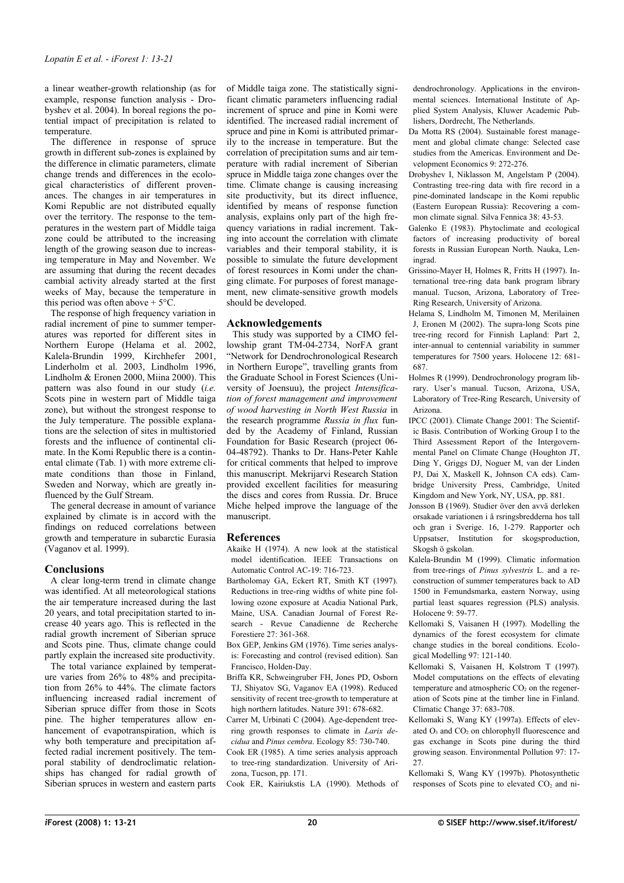a linear weather-growth relationship (as for example, response function analysis - Drobyshev et al. 2004). In boreal regions the potential impact of precipitation is related to temperature.

The difference in response of spruce growth in different sub-zones is explained by the difference in climatic parameters, climate change trends and differences in the ecological characteristics of different provenances. The changes in air temperatures in Komi Republic are not distributed equally over the territory. The response to the temperatures in the western part of Middle taiga zone could be attributed to the increasing length of the growing season due to increasing temperature in May and November. We are assuming that during the recent decades cambial activity already started at the first weeks of May, because the temperature in this period was often above  $+5^{\circ}$ C.

The response of high frequency variation in radial increment of pine to summer temperatures was reported for different sites in Northern Europe (Helama et al. 2002, Kalela-Brundin 1999, Kirchhefer 2001, Linderholm et al. 2003, Lindholm 1996, Lindholm & Eronen 2000, Miina 2000). This pattern was also found in our study (*i.e.* Scots pine in western part of Middle taiga zone), but without the strongest response to the July temperature. The possible explanations are the selection of sites in multistoried forests and the influence of continental climate. In the Komi Republic there is a continental climate [\(Tab.](#page-1-1) 1) with more extreme climate conditions than those in Finland, Sweden and Norway, which are greatly influenced by the Gulf Stream.

The general decrease in amount of variance explained by climate is in accord with the findings on reduced correlations between growth and temperature in subarctic Eurasia (Vaganov et al. 1999).

## **Conclusions**

A clear long-term trend in climate change was identified. At all meteorological stations the air temperature increased during the last 20 years, and total precipitation started to increase 40 years ago. This is reflected in the radial growth increment of Siberian spruce and Scots pine. Thus, climate change could partly explain the increased site productivity.

The total variance explained by temperature varies from 26% to 48% and precipitation from 26% to 44%. The climate factors influencing increased radial increment of Siberian spruce differ from those in Scots pine. The higher temperatures allow enhancement of evapotranspiration, which is why both temperature and precipitation affected radial increment positively. The temporal stability of dendroclimatic relationships has changed for radial growth of Siberian spruces in western and eastern parts

of Middle taiga zone. The statistically significant climatic parameters influencing radial increment of spruce and pine in Komi were identified. The increased radial increment of spruce and pine in Komi is attributed primarily to the increase in temperature. But the correlation of precipitation sums and air temperature with radial increment of Siberian spruce in Middle taiga zone changes over the time. Climate change is causing increasing site productivity, but its direct influence, identified by means of response function analysis, explains only part of the high frequency variations in radial increment. Taking into account the correlation with climate variables and their temporal stability, it is possible to simulate the future development of forest resources in Komi under the changing climate. For purposes of forest management, new climate-sensitive growth models should be developed.

# **Acknowledgements**

This study was supported by a CIMO fellowship grant TM-04-2734, NorFA grant "Network for Dendrochronological Research in Northern Europe", travelling grants from the Graduate School in Forest Sciences (University of Joensuu), the project *Intensification of forest management and improvement of wood harvesting in North West Russia* in the research programme *Russia in flux* funded by the Academy of Finland, Russian Foundation for Basic Research (project 06- 04-48792). Thanks to Dr. Hans-Peter Kahle for critical comments that helped to improve this manuscript. Mekrijarvi Research Station provided excellent facilities for measuring the discs and cores from Russia. Dr. Bruce Miche helped improve the language of the manuscript.

## **References**

- Akaike H (1974). A new look at the statistical model identification. IEEE Transactions on Automatic Control AC-19: 716-723.
- Bartholomay GA, Eckert RT, Smith KT (1997). Reductions in tree-ring widths of white pine following ozone exposure at Acadia National Park, Maine, USA. Canadian Journal of Forest Research - Revue Canadienne de Recherche Forestiere 27: 361-368.
- Box GEP, Jenkins GM (1976). Time series analysis: Forecasting and control (revised edition). San Francisco, Holden-Day.
- Briffa KR, Schweingruber FH, Jones PD, Osborn TJ, Shiyatov SG, Vaganov EA (1998). Reduced sensitivity of recent tree-growth to temperature at high northern latitudes. Nature 391: 678-682.
- Carrer M, Urbinati C (2004). Age-dependent treering growth responses to climate in *Larix decidua* and *Pinus cembra*. Ecology 85: 730-740.
- Cook ER (1985). A time series analysis approach to tree-ring standardization. University of Arizona, Tucson, pp. 171.

Cook ER, Kairiukstis LA (1990). Methods of

dendrochronology. Applications in the environmental sciences. International Institute of Applied System Analysis, Kluwer Academic Publishers, Dordrecht, The Netherlands.

- Da Motta RS (2004). Sustainable forest management and global climate change: Selected case studies from the Americas. Environment and Development Economics 9: 272-276.
- Drobyshev I, Niklasson M, Angelstam P (2004). Contrasting tree-ring data with fire record in a pine-dominated landscape in the Komi republic (Eastern European Russia): Recovering a common climate signal. Silva Fennica 38: 43-53.
- Galenko E (1983). Phytoclimate and ecological factors of increasing productivity of boreal forests in Russian European North. Nauka, Leningrad.
- Grissino-Mayer H, Holmes R, Fritts H (1997). International tree-ring data bank program library manual. Tucson, Arizona, Laboratory of Tree-Ring Research, University of Arizona.
- Helama S, Lindholm M, Timonen M, Merilainen J, Eronen M (2002). The supra-long Scots pine tree-ring record for Finnish Lapland: Part 2, inter-annual to centennial variability in summer temperatures for 7500 years. Holocene 12: 681- 687.
- Holmes R (1999). Dendrochronology program library. User's manual. Tucson, Arizona, USA, Laboratory of Tree-Ring Research, University of Arizona.
- IPCC (2001). Climate Change 2001: The Scientific Basis. Contribution of Working Group I to the Third Assessment Report of the Intergovernmental Panel on Climate Change (Houghton JT, Ding Y, Griggs DJ, Noguer M, van der Linden PJ, Dai X, Maskell K, Johnson CA eds). Cambridge University Press, Cambridge, United Kingdom and New York, NY, USA, pp. 881.
- Jonsson B (1969). Studier över den avvä derleken orsakade variationen i å rsringsbredderna hos tall och gran i Sverige. 16, 1-279. Rapporter och Uppsatser, Institution for skogsproduction, Skogsh ö gskolan.
- Kalela-Brundin M (1999). Climatic information from tree-rings of *Pinus sylvestris* L. and a reconstruction of summer temperatures back to AD 1500 in Femundsmarka, eastern Norway, using partial least squares regression (PLS) analysis. -<br>Holocene 9: 59-77.
- Kellomaki S, Vaisanen H (1997). Modelling the dynamics of the forest ecosystem for climate change studies in the boreal conditions. Ecological Modelling 97: 121-140.
- Kellomaki S, Vaisanen H, Kolstrom T (1997). Model computations on the effects of elevating temperature and atmospheric  $CO<sub>2</sub>$  on the regeneration of Scots pine at the timber line in Finland. Climatic Change 37: 683-708.
- Kellomaki S, Wang KY (1997a). Effects of elevated  $O_3$  and  $CO_2$  on chlorophyll fluorescence and gas exchange in Scots pine during the third growing season. Environmental Pollution 97: 17- 27.
- Kellomaki S, Wang KY (1997b). Photosynthetic responses of Scots pine to elevated CO<sub>2</sub> and ni-